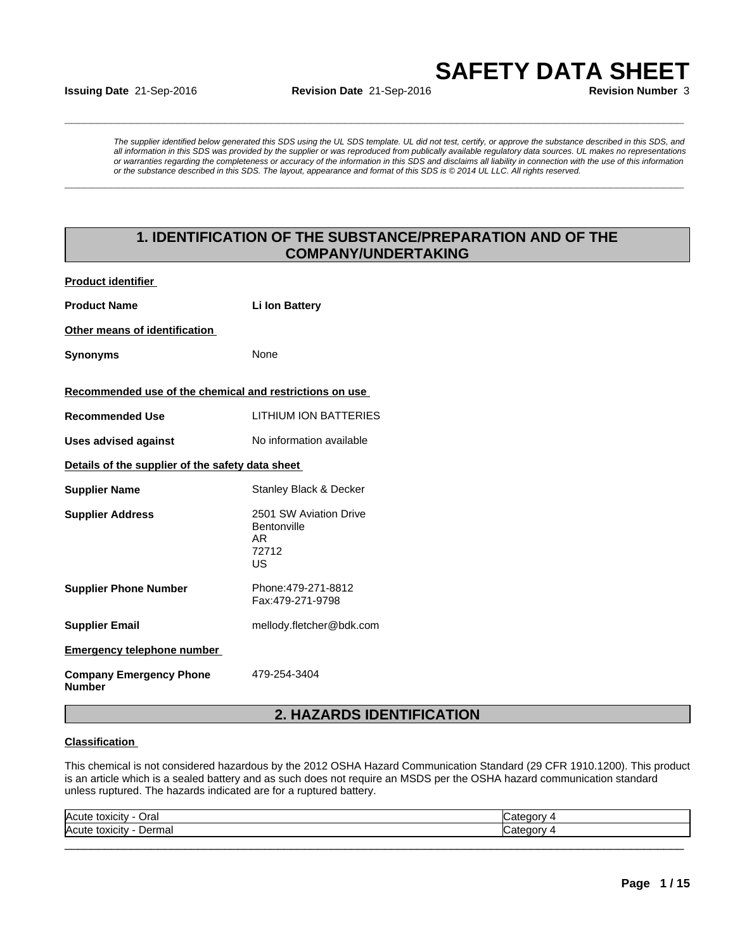**Issuing Date** 21-Sep-2016 **Revision Date** 21-Sep-2016 **Revision Number** 3

**SAFETY DATA SHEET**<br> **SAFETY DATA SHEET**<br> **Revision Number** 3<br>
The supplier identified below generated this SDS using the UL SDS template. UL did not test, certify, or approve the substance described in this SDS, and<br>
all *The supplier identified below generated this SDS using the UL SDS template. UL did not test, certify, or approve the substance described in this SDS, and all information in this SDS was provided by the supplier or was reproduced from publically available regulatory data sources. UL makes no representations or warranties regarding the completeness or accuracy of the information in this SDS and disclaims all liability in connection with the use of this information or the substance described in this SDS. The layout, appearance and format of this SDS is © 2014 UL LLC. All rights reserved.* **1.** Sep-2016<br> **1. Incredired below generated this SDS using the UL SDS templete.** UL did not test, certify, or approve the substance described in this SDS and<br>
mation of the SDS using the UL SDS templete. UL did not test,

**\_\_\_\_\_\_\_\_\_\_\_\_\_\_\_\_\_\_\_\_\_\_\_\_\_\_\_\_\_\_\_\_\_\_\_\_\_\_\_\_\_\_\_\_\_\_\_\_\_\_\_\_\_\_\_\_\_\_\_\_\_\_\_\_\_\_\_\_\_\_\_\_\_\_\_\_\_\_\_\_\_\_\_\_\_\_\_\_\_\_\_\_\_**

## **COMPANY/UNDERTAKING**

| <b>Product identifier</b>                               |                                                                                                                        |
|---------------------------------------------------------|------------------------------------------------------------------------------------------------------------------------|
| <b>Product Name</b>                                     | <b>Li Ion Battery</b>                                                                                                  |
| Other means of identification                           |                                                                                                                        |
| <b>Synonyms</b>                                         | None                                                                                                                   |
| Recommended use of the chemical and restrictions on use |                                                                                                                        |
| <b>Recommended Use</b>                                  | <b>LITHIUM ION BATTERIES</b>                                                                                           |
| <b>Uses advised against</b>                             | No information available                                                                                               |
| Details of the supplier of the safety data sheet        |                                                                                                                        |
| <b>Supplier Name</b>                                    | Stanley Black & Decker                                                                                                 |
| <b>Supplier Address</b>                                 | 2501 SW Aviation Drive<br>Bentonville<br><b>AR</b><br>72712<br>US                                                      |
| <b>Supplier Phone Number</b>                            | Phone: 479-271-8812<br>Fax:479-271-9798                                                                                |
| <b>Supplier Email</b>                                   | mellody.fletcher@bdk.com                                                                                               |
| <b>Emergency telephone number</b>                       |                                                                                                                        |
| <b>Company Emergency Phone</b><br><b>Number</b>         | 479-254-3404                                                                                                           |
|                                                         | 2. HAZARDS IDENTIFICATION                                                                                              |
| <b>Classification</b>                                   |                                                                                                                        |
|                                                         | This chemical is not considered hazardous by the 2012 OSHA Hazard Communication Standard (29 CFR 1910.1200). This prod |

### **Classification**

This chemical is not considered hazardous by the 2012 OSHA Hazard Communication Standard (29 CFR 1910.1200). This product is an article which is a sealed battery and as such does not require an MSDS per the OSHA hazard communication standard unless ruptured. The hazards indicated are for a ruptured battery.

| Acute<br>Oral<br>toxicity           | $\sim$<br>. |  |
|-------------------------------------|-------------|--|
| Dermal<br><b>IAcutr</b><br>toxicity | $-1 - 1$    |  |
|                                     |             |  |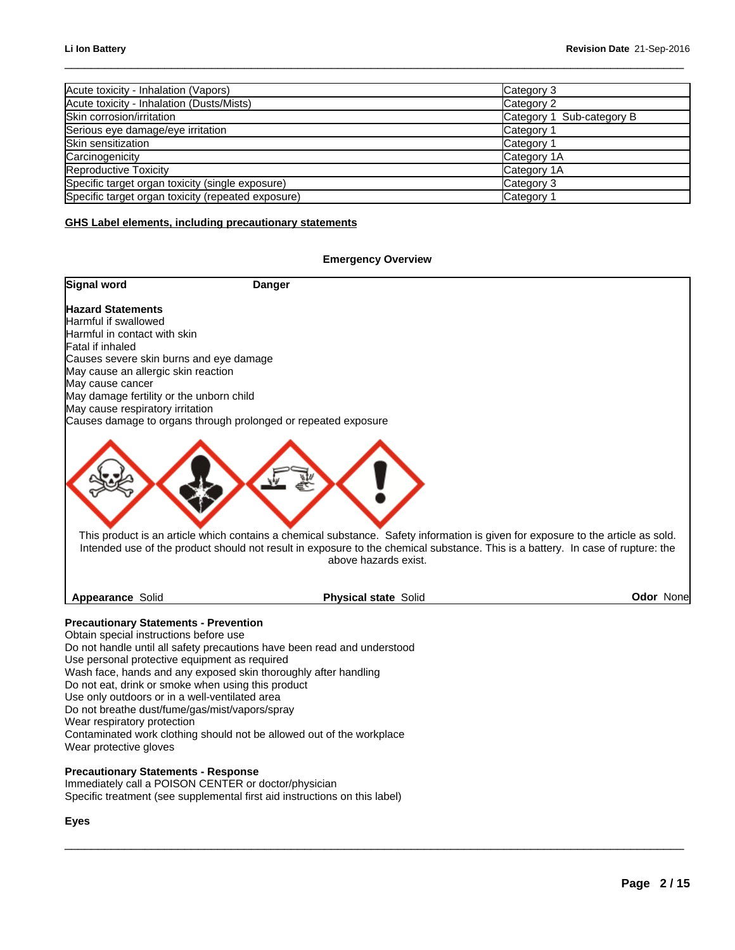| Acute toxicity - Inhalation (Vapors)               | Category 3                |
|----------------------------------------------------|---------------------------|
| Acute toxicity - Inhalation (Dusts/Mists)          | Category 2                |
| Skin corrosion/irritation                          | Category 1 Sub-category B |
| Serious eye damage/eye irritation                  | Category 1                |
| Skin sensitization                                 | Category                  |
| Carcinogenicity                                    | Category 1A               |
| Reproductive Toxicity                              | Category 1A               |
| Specific target organ toxicity (single exposure)   | Category 3                |
| Specific target organ toxicity (repeated exposure) | Category                  |

### **GHS Label elements, including precautionary statements**

### **Emergency Overview**



 $\_$  ,  $\_$  ,  $\_$  ,  $\_$  ,  $\_$  ,  $\_$  ,  $\_$  ,  $\_$  ,  $\_$  ,  $\_$  ,  $\_$  ,  $\_$  ,  $\_$  ,  $\_$  ,  $\_$  ,  $\_$  ,  $\_$  ,  $\_$  ,  $\_$  ,  $\_$  ,  $\_$  ,  $\_$  ,  $\_$  ,  $\_$  ,  $\_$  ,  $\_$  ,  $\_$  ,  $\_$  ,  $\_$  ,  $\_$  ,  $\_$  ,  $\_$  ,  $\_$  ,  $\_$  ,  $\_$  ,  $\_$  ,  $\_$  ,

Obtain special instructions before use Do not handle until all safety precautions have been read and understood Use personal protective equipment as required Wash face, hands and any exposed skin thoroughly after handling Do not eat, drink or smoke when using this product Use only outdoors or in a well-ventilated area Do not breathe dust/fume/gas/mist/vapors/spray Wear respiratory protection Contaminated work clothing should not be allowed out of the workplace Wear protective gloves

### **Precautionary Statements - Response**

Immediately call a POISON CENTER or doctor/physician Specific treatment (see supplemental first aid instructions on this label)

### **Eyes**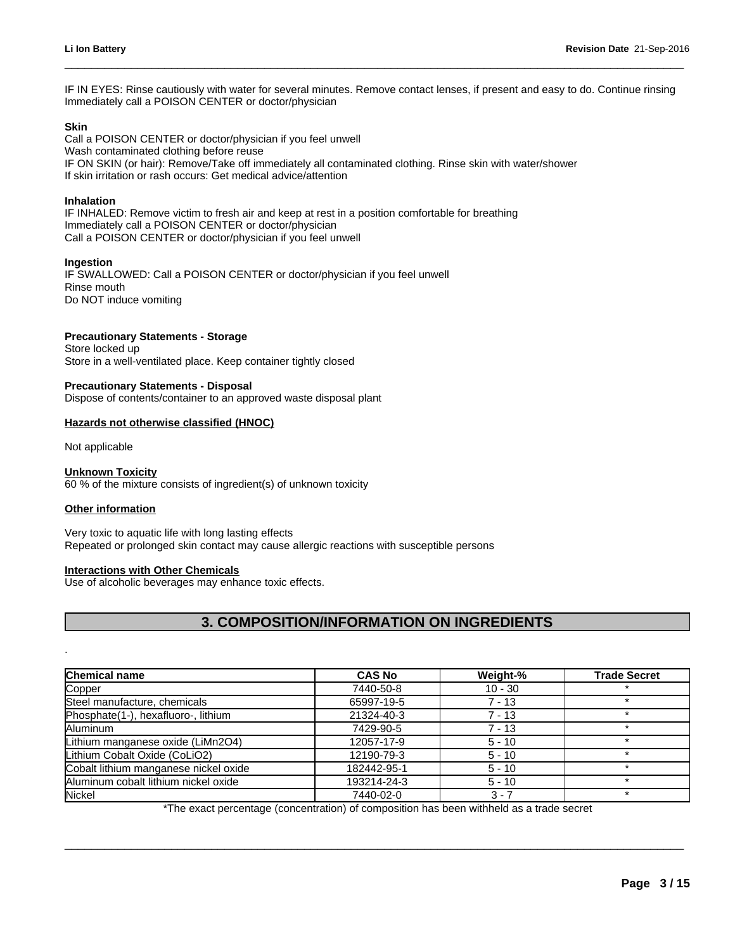IF IN EYES: Rinse cautiously with water for several minutes. Remove contact lenses, if present and easy to do. Continue rinsing Immediately call a POISON CENTER or doctor/physician

 $\_$  ,  $\_$  ,  $\_$  ,  $\_$  ,  $\_$  ,  $\_$  ,  $\_$  ,  $\_$  ,  $\_$  ,  $\_$  ,  $\_$  ,  $\_$  ,  $\_$  ,  $\_$  ,  $\_$  ,  $\_$  ,  $\_$  ,  $\_$  ,  $\_$  ,  $\_$  ,  $\_$  ,  $\_$  ,  $\_$  ,  $\_$  ,  $\_$  ,  $\_$  ,  $\_$  ,  $\_$  ,  $\_$  ,  $\_$  ,  $\_$  ,  $\_$  ,  $\_$  ,  $\_$  ,  $\_$  ,  $\_$  ,  $\_$  ,

### **Skin**

Call a POISON CENTER or doctor/physician if you feel unwell Wash contaminated clothing before reuse IF ON SKIN (or hair): Remove/Take off immediately all contaminated clothing. Rinse skin with water/shower If skin irritation or rash occurs: Get medical advice/attention

### **Inhalation**

IF INHALED: Remove victim to fresh air and keep at rest in a position comfortable for breathing Immediately call a POISON CENTER or doctor/physician Call a POISON CENTER or doctor/physician if you feel unwell

### **Ingestion**

IF SWALLOWED: Call a POISON CENTER or doctor/physician if you feel unwell Rinse mouth Do NOT induce vomiting

### **Precautionary Statements - Storage**

Store locked up Store in a well-ventilated place. Keep container tightly closed

### **Precautionary Statements - Disposal**

Dispose of contents/container to an approved waste disposal plant

### **Hazards not otherwise classified (HNOC)**

### **Unknown Toxicity**

### **Other information**

### **Interactions with Other Chemicals**

| Dispose of contents/container to an approved waste disposal plant                                                                                |                                                  |           |                     |
|--------------------------------------------------------------------------------------------------------------------------------------------------|--------------------------------------------------|-----------|---------------------|
| Hazards not otherwise classified (HNOC)                                                                                                          |                                                  |           |                     |
| Not applicable                                                                                                                                   |                                                  |           |                     |
| <b>Unknown Toxicity</b><br>60 % of the mixture consists of ingredient(s) of unknown toxicity                                                     |                                                  |           |                     |
| <b>Other information</b>                                                                                                                         |                                                  |           |                     |
| Very toxic to aquatic life with long lasting effects<br>Repeated or prolonged skin contact may cause allergic reactions with susceptible persons |                                                  |           |                     |
| <b>Interactions with Other Chemicals</b><br>Use of alcoholic beverages may enhance toxic effects.                                                |                                                  |           |                     |
|                                                                                                                                                  | <b>3. COMPOSITION/INFORMATION ON INGREDIENTS</b> |           |                     |
| <b>Chemical name</b>                                                                                                                             | <b>CAS No</b>                                    | Weight-%  | <b>Trade Secret</b> |
| Copper                                                                                                                                           | 7440-50-8                                        | $10 - 30$ | $\star$             |
| Steel manufacture, chemicals                                                                                                                     | 65997-19-5                                       | $7 - 13$  | $\star$             |
| Phosphate(1-), hexafluoro-, lithium                                                                                                              | 21324-40-3                                       | $7 - 13$  | $\star$             |
| Aluminum                                                                                                                                         | 7429-90-5                                        | $7 - 13$  | $\star$             |
| Lithium manganese oxide (LiMn2O4)                                                                                                                | 12057-17-9                                       | $5 - 10$  | $\star$             |
| Lithium Cobalt Oxide (CoLiO2)                                                                                                                    | 12190-79-3                                       | $5 - 10$  | $\star$             |
| Cobalt lithium manganese nickel oxide                                                                                                            | 182442-95-1                                      | $5 - 10$  | $\star$             |
| Aluminum cobalt lithium nickel oxide                                                                                                             | 193214-24-3                                      | $5 - 10$  | $\star$             |
| <b>Nickel</b>                                                                                                                                    | 7440-02-0                                        | $3 - 7$   | $\star$             |

\*The exact percentage (concentration) of composition has been withheld as a trade secret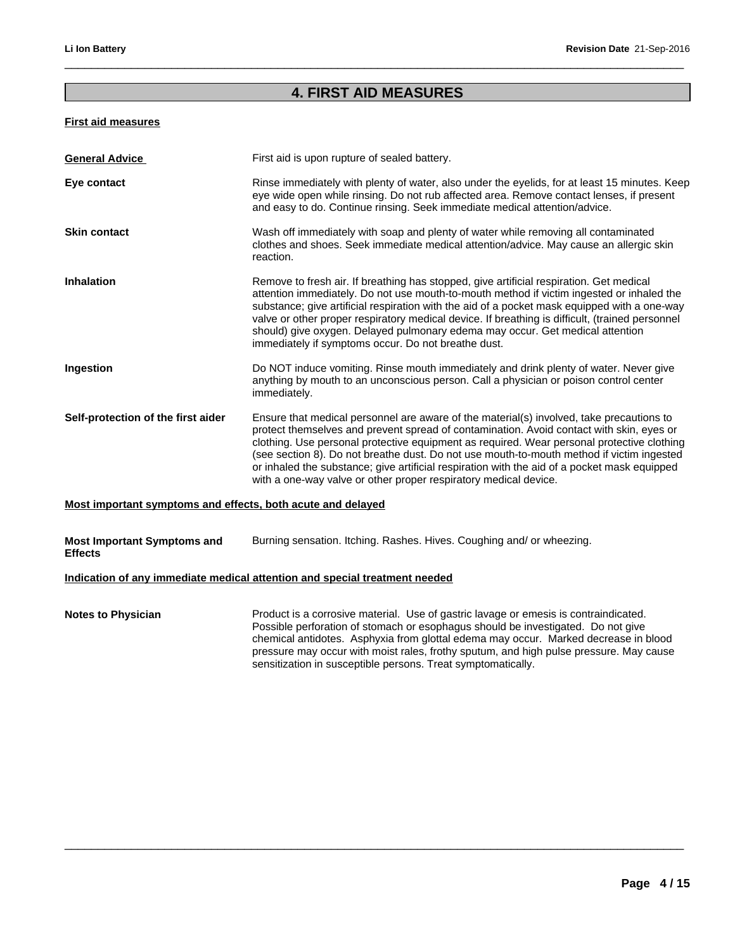# Revision Date 21<br>**4. FIRST AID MEASURES**

 $\_$  ,  $\_$  ,  $\_$  ,  $\_$  ,  $\_$  ,  $\_$  ,  $\_$  ,  $\_$  ,  $\_$  ,  $\_$  ,  $\_$  ,  $\_$  ,  $\_$  ,  $\_$  ,  $\_$  ,  $\_$  ,  $\_$  ,  $\_$  ,  $\_$  ,  $\_$  ,  $\_$  ,  $\_$  ,  $\_$  ,  $\_$  ,  $\_$  ,  $\_$  ,  $\_$  ,  $\_$  ,  $\_$  ,  $\_$  ,  $\_$  ,  $\_$  ,  $\_$  ,  $\_$  ,  $\_$  ,  $\_$  ,  $\_$  ,

## **First aid measures**

| <b>General Advice</b>                                       | First aid is upon rupture of sealed battery.                                                                                                                                                                                                                                                                                                                                                                                                                                                                                                        |
|-------------------------------------------------------------|-----------------------------------------------------------------------------------------------------------------------------------------------------------------------------------------------------------------------------------------------------------------------------------------------------------------------------------------------------------------------------------------------------------------------------------------------------------------------------------------------------------------------------------------------------|
| Eye contact                                                 | Rinse immediately with plenty of water, also under the eyelids, for at least 15 minutes. Keep<br>eye wide open while rinsing. Do not rub affected area. Remove contact lenses, if present<br>and easy to do. Continue rinsing. Seek immediate medical attention/advice.                                                                                                                                                                                                                                                                             |
| <b>Skin contact</b>                                         | Wash off immediately with soap and plenty of water while removing all contaminated<br>clothes and shoes. Seek immediate medical attention/advice. May cause an allergic skin<br>reaction.                                                                                                                                                                                                                                                                                                                                                           |
| <b>Inhalation</b>                                           | Remove to fresh air. If breathing has stopped, give artificial respiration. Get medical<br>attention immediately. Do not use mouth-to-mouth method if victim ingested or inhaled the<br>substance; give artificial respiration with the aid of a pocket mask equipped with a one-way<br>valve or other proper respiratory medical device. If breathing is difficult, (trained personnel<br>should) give oxygen. Delayed pulmonary edema may occur. Get medical attention<br>immediately if symptoms occur. Do not breathe dust.                     |
| Ingestion                                                   | Do NOT induce vomiting. Rinse mouth immediately and drink plenty of water. Never give<br>anything by mouth to an unconscious person. Call a physician or poison control center<br>immediately.                                                                                                                                                                                                                                                                                                                                                      |
| Self-protection of the first aider                          | Ensure that medical personnel are aware of the material(s) involved, take precautions to<br>protect themselves and prevent spread of contamination. Avoid contact with skin, eyes or<br>clothing. Use personal protective equipment as required. Wear personal protective clothing<br>(see section 8). Do not breathe dust. Do not use mouth-to-mouth method if victim ingested<br>or inhaled the substance; give artificial respiration with the aid of a pocket mask equipped<br>with a one-way valve or other proper respiratory medical device. |
| Most important symptoms and effects, both acute and delayed |                                                                                                                                                                                                                                                                                                                                                                                                                                                                                                                                                     |
| <b>Most Important Symptoms and</b><br><b>Effects</b>        | Burning sensation. Itching. Rashes. Hives. Coughing and/ or wheezing.                                                                                                                                                                                                                                                                                                                                                                                                                                                                               |
|                                                             | Indication of any immediate medical attention and special treatment needed                                                                                                                                                                                                                                                                                                                                                                                                                                                                          |
| <b>Notes to Physician</b>                                   | Product is a corrosive material. Use of gastric lavage or emesis is contraindicated.<br>Possible perforation of stomach or esophagus should be investigated. Do not give<br>chemical antidotes. Asphyxia from glottal edema may occur. Marked decrease in blood<br>pressure may occur with moist rales, frothy sputum, and high pulse pressure. May cause<br>sensitization in susceptible persons. Treat symptomatically.                                                                                                                           |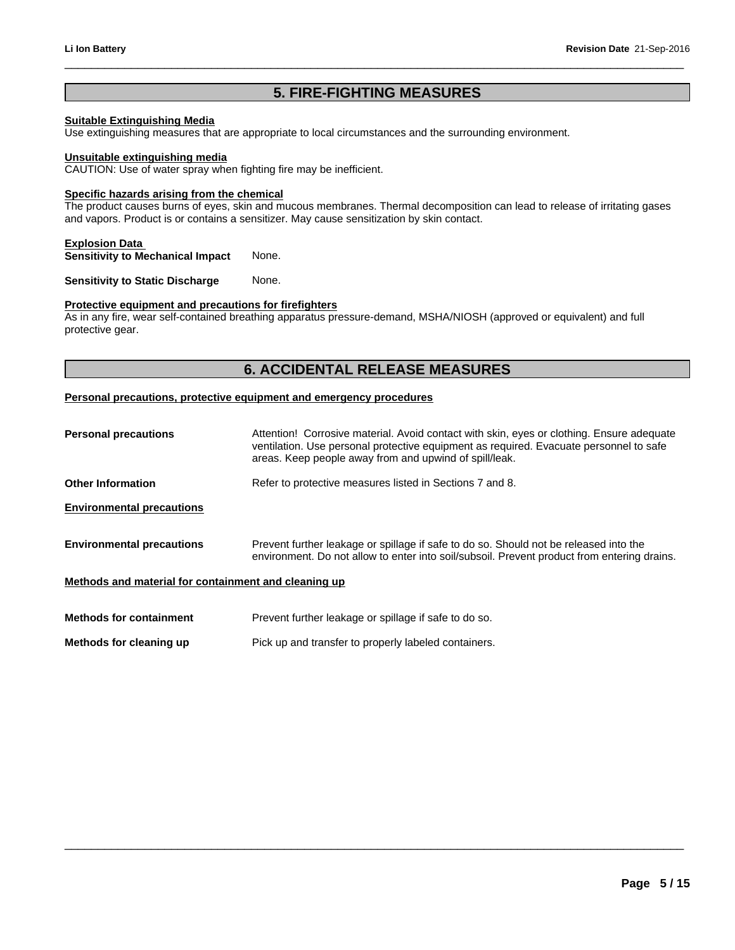## **Suitable Extinguishing Media**

**1.5er Revision Date 21-Septem**<br> **5. FIRE-FIGHTING MEASURES**<br> **1.5er Priate to local circumstances and the surrounding environment.** Use extinguishing measures that are appropriate to local circumstances and the surrounding environment.

### **Unsuitable extinguishing media**

CAUTION: Use of water spray when fighting fire may be inefficient.

### **Specific hazards arising from the chemical**

The product causes burns of eyes, skin and mucous membranes. Thermal decomposition can lead to release of irritating gases and vapors. Product is or contains a sensitizer. May cause sensitization by skin contact. righting fire may be inefficient.<br> **hemical**<br>
in and mucous membranes. Thermal decomposition can lead to release of irritating gases<br>
ensitizer. May cause sensitization by skin contact.<br>
None.<br>
None.<br> **6. ACCIDENTAL RELEAS** 

### **Explosion Data**

**Sensitivity to Mechanical Impact** None.

**Sensitivity to Static Discharge None.** 

### **Protective equipment and precautions for firefighters**

As in any fire, wear self-contained breathing apparatus pressure-demand, MSHA/NIOSH (approved or equivalent) and full protective gear.

### **Personal precautions, protective equipment and emergency procedures**

| <b>Personal precautions</b>                          | Attention! Corrosive material. Avoid contact with skin, eyes or clothing. Ensure adequate<br>ventilation. Use personal protective equipment as required. Evacuate personnel to safe<br>areas. Keep people away from and upwind of spill/leak. |  |
|------------------------------------------------------|-----------------------------------------------------------------------------------------------------------------------------------------------------------------------------------------------------------------------------------------------|--|
| <b>Other Information</b>                             | Refer to protective measures listed in Sections 7 and 8.                                                                                                                                                                                      |  |
| <b>Environmental precautions</b>                     |                                                                                                                                                                                                                                               |  |
| <b>Environmental precautions</b>                     | Prevent further leakage or spillage if safe to do so. Should not be released into the<br>environment. Do not allow to enter into soil/subsoil. Prevent product from entering drains.                                                          |  |
| Methods and material for containment and cleaning up |                                                                                                                                                                                                                                               |  |
| <b>Methods for containment</b>                       | Prevent further leakage or spillage if safe to do so.                                                                                                                                                                                         |  |
| Methods for cleaning up                              | Pick up and transfer to properly labeled containers.                                                                                                                                                                                          |  |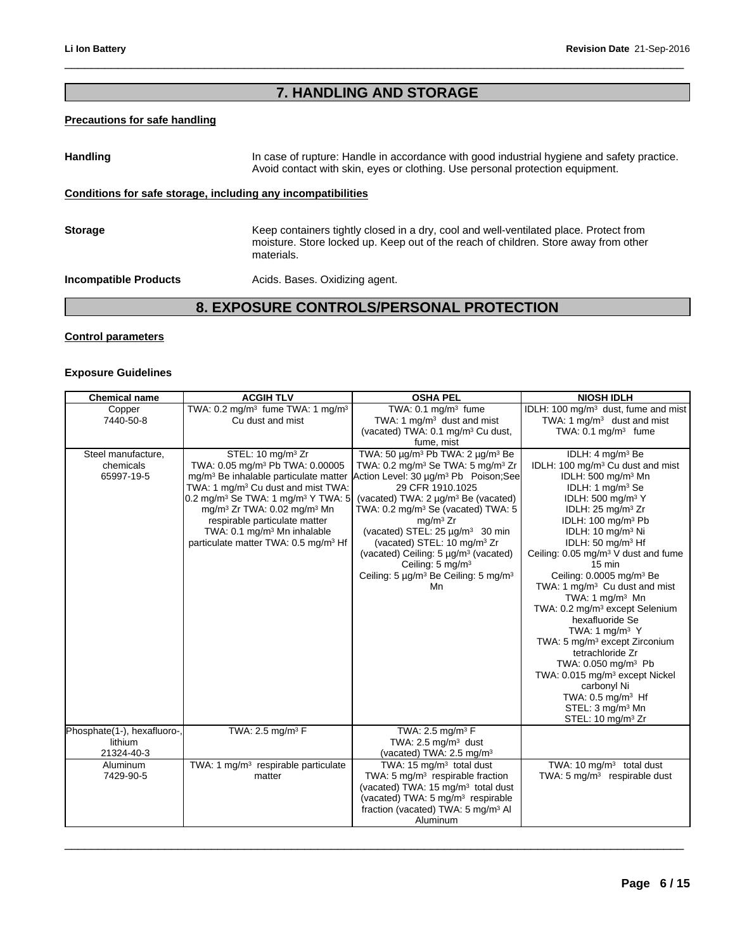# Revision Date 21-Se<br> **7. HANDLING AND STORAGE**

 $\_$  ,  $\_$  ,  $\_$  ,  $\_$  ,  $\_$  ,  $\_$  ,  $\_$  ,  $\_$  ,  $\_$  ,  $\_$  ,  $\_$  ,  $\_$  ,  $\_$  ,  $\_$  ,  $\_$  ,  $\_$  ,  $\_$  ,  $\_$  ,  $\_$  ,  $\_$  ,  $\_$  ,  $\_$  ,  $\_$  ,  $\_$  ,  $\_$  ,  $\_$  ,  $\_$  ,  $\_$  ,  $\_$  ,  $\_$  ,  $\_$  ,  $\_$  ,  $\_$  ,  $\_$  ,  $\_$  ,  $\_$  ,  $\_$  ,

### **Precautions for safe handling**

**7. HANDLING AND STORAGE**<br> **Example 16.4 In case of rupture:** Handle in accordance with good industrial hygiene and safety practice.<br>
Avoid contact with skin, eyes or clothing. Use personal protection equipment.<br> **19. incl** Handling **In case of rupture: Handle in accordance with good industrial hygiene and safety practice.** Avoid contact with skin, eyes or clothing. Use personal protection equipment. **Conditions for safe storage, including any incompatibilities Storage** Keep containers tightly closed in a dry, cool and well-ventilated place. Protect from moisture. Store locked up. Keep out of the reach of children. Store away from other materials.

**Incompatible Products Acids. Bases. Oxidizing agent.** 

### **Control parameters**

### **Exposure Guidelines**

| <b>Chemical name</b>                                 | <b>ACGIH TLV</b>                                                                                                                                                                                                                                                                                                                                                                                                                         | <b>OSHA PEL</b>                                                                                                                                                                                                                                                                                                                                                                                                                                                                                                                                                 | <b>NIOSH IDLH</b>                                                                                                                                                                                                                                                                                                                                                                                                                                                                                                                                                                                                                                                                                                                                                                                                                                             |
|------------------------------------------------------|------------------------------------------------------------------------------------------------------------------------------------------------------------------------------------------------------------------------------------------------------------------------------------------------------------------------------------------------------------------------------------------------------------------------------------------|-----------------------------------------------------------------------------------------------------------------------------------------------------------------------------------------------------------------------------------------------------------------------------------------------------------------------------------------------------------------------------------------------------------------------------------------------------------------------------------------------------------------------------------------------------------------|---------------------------------------------------------------------------------------------------------------------------------------------------------------------------------------------------------------------------------------------------------------------------------------------------------------------------------------------------------------------------------------------------------------------------------------------------------------------------------------------------------------------------------------------------------------------------------------------------------------------------------------------------------------------------------------------------------------------------------------------------------------------------------------------------------------------------------------------------------------|
| Copper<br>7440-50-8                                  | TWA: 0.2 mg/m <sup>3</sup> fume TWA: 1 mg/m <sup>3</sup><br>Cu dust and mist                                                                                                                                                                                                                                                                                                                                                             | TWA: $0.1 \text{ mg/m}^3$ fume<br>TWA: 1 mg/m <sup>3</sup> dust and mist<br>(vacated) TWA: 0.1 mg/m <sup>3</sup> Cu dust,<br>fume, mist                                                                                                                                                                                                                                                                                                                                                                                                                         | IDLH: 100 mg/m <sup>3</sup> dust, fume and mist<br>TWA: 1 $mg/m3$ dust and mist<br>TWA: $0.1 \text{ mg/m}^3$ fume                                                                                                                                                                                                                                                                                                                                                                                                                                                                                                                                                                                                                                                                                                                                             |
| Steel manufacture,<br>chemicals<br>65997-19-5        | STEL: 10 mg/m <sup>3</sup> Zr<br>TWA: 0.05 mg/m <sup>3</sup> Pb TWA: 0.00005<br>mg/m <sup>3</sup> Be inhalable particulate matter<br>TWA: 1 mg/m <sup>3</sup> Cu dust and mist TWA:<br>0.2 mg/m <sup>3</sup> Se TWA: 1 mg/m <sup>3</sup> Y TWA: 5<br>mg/m <sup>3</sup> Zr TWA: 0.02 mg/m <sup>3</sup> Mn<br>respirable particulate matter<br>TWA: 0.1 mg/m <sup>3</sup> Mn inhalable<br>particulate matter TWA: 0.5 mg/m <sup>3</sup> Hf | TWA: 50 $\mu q/m^3$ Pb TWA: 2 $\mu q/m^3$ Be<br>TWA: $0.2 \text{ mg/m}^3$ Se TWA: $5 \text{ mg/m}^3$ Zr<br>Action Level: 30 µg/m <sup>3</sup> Pb Poison;See<br>29 CFR 1910.1025<br>(vacated) TWA: 2 µg/m <sup>3</sup> Be (vacated)<br>TWA: $0.2 \text{ mg/m}^3$ Se (vacated) TWA: 5<br>mq/m <sup>3</sup> Zr<br>(vacated) STEL: 25 µg/m <sup>3</sup> 30 min<br>(vacated) STEL: 10 mg/m <sup>3</sup> Zr<br>(vacated) Ceiling: 5 µg/m <sup>3</sup> (vacated)<br>Ceiling: $5 \text{ mg/m}^3$<br>Ceiling: 5 µg/m <sup>3</sup> Be Ceiling: 5 mg/m <sup>3</sup><br>Mn. | IDLH: 4 mg/m <sup>3</sup> Be<br>IDLH: 100 mg/m <sup>3</sup> Cu dust and mist<br>IDLH: 500 mg/m <sup>3</sup> Mn<br>IDLH: 1 mg/m <sup>3</sup> Se<br>IDLH: 500 mg/m <sup>3</sup> Y<br>IDLH: $25 \text{ mg/m}^3$ Zr<br>IDLH: 100 mg/m <sup>3</sup> Pb<br>IDLH: 10 mg/m <sup>3</sup> Ni<br>IDLH: 50 mg/m <sup>3</sup> Hf<br>Ceiling: 0.05 mg/m <sup>3</sup> V dust and fume<br>$15 \text{ min}$<br>Ceiling: 0.0005 mg/m <sup>3</sup> Be<br>TWA: 1 mg/m <sup>3</sup> Cu dust and mist<br>TWA: 1 $mq/m3$ Mn<br>TWA: 0.2 mg/m <sup>3</sup> except Selenium<br>hexafluoride Se<br>TWA: 1 mg/m $3$ Y<br>TWA: 5 mg/m <sup>3</sup> except Zirconium<br>tetrachloride Zr<br>TWA: 0.050 mg/m <sup>3</sup> Pb<br>TWA: 0.015 mg/m <sup>3</sup> except Nickel<br>carbonyl Ni<br>TWA: 0.5 mg/m <sup>3</sup> Hf<br>STEL: 3 mg/m <sup>3</sup> Mn<br>STEL: 10 mg/m <sup>3</sup> Zr |
| Phosphate(1-), hexafluoro-,<br>lithium<br>21324-40-3 | TWA: 2.5 mg/m <sup>3</sup> $F$                                                                                                                                                                                                                                                                                                                                                                                                           | TWA: 2.5 mg/m <sup>3</sup> $F$<br>TWA: $2.5 \text{ mg/m}^3$ dust<br>(vacated) TWA: $2.5 \text{ mg/m}^3$                                                                                                                                                                                                                                                                                                                                                                                                                                                         |                                                                                                                                                                                                                                                                                                                                                                                                                                                                                                                                                                                                                                                                                                                                                                                                                                                               |
| Aluminum<br>7429-90-5                                | TWA: 1 mg/m <sup>3</sup> respirable particulate<br>matter                                                                                                                                                                                                                                                                                                                                                                                | TWA: $15 \text{ mg/m}^3$ total dust<br>TWA: 5 $mg/m3$ respirable fraction<br>(vacated) TWA: 15 mg/m <sup>3</sup> total dust<br>(vacated) TWA: 5 mg/m <sup>3</sup> respirable<br>fraction (vacated) TWA: 5 mg/m <sup>3</sup> Al<br>Aluminum                                                                                                                                                                                                                                                                                                                      | TWA: 10 $mq/m3$ total dust<br>TWA: $5 \text{ mg/m}^3$ respirable dust                                                                                                                                                                                                                                                                                                                                                                                                                                                                                                                                                                                                                                                                                                                                                                                         |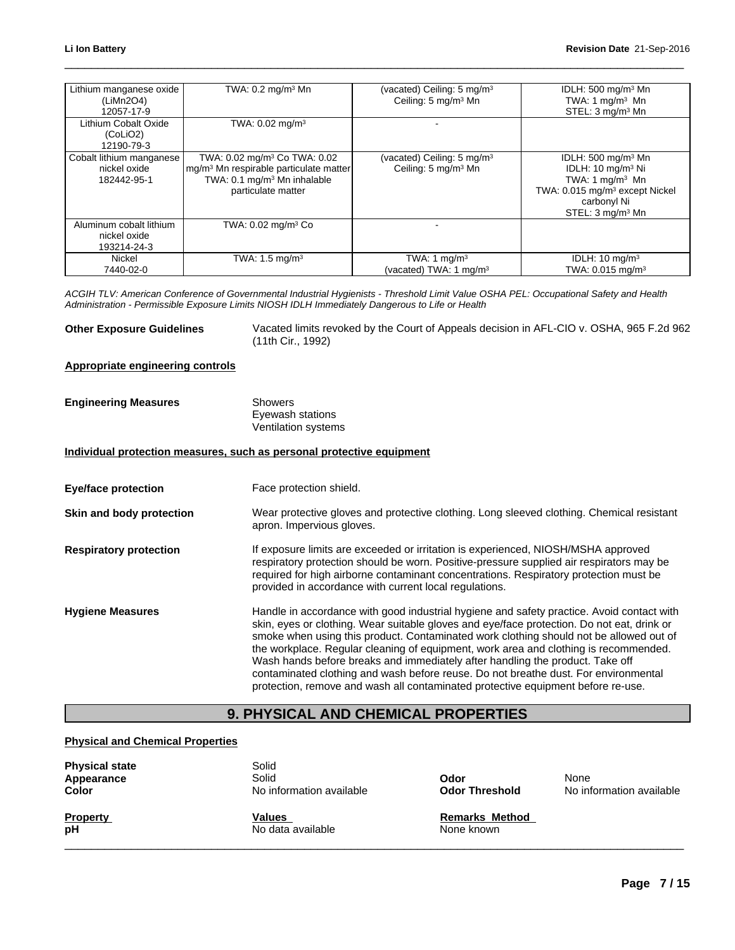| Lithium manganese oxide<br>(LiMn2O4)<br>12057-17-9      | TWA: $0.2 \text{ ma/m}^3$ Mn                                                                                                                                    | (vacated) Ceiling: 5 mg/m <sup>3</sup><br>Ceiling: 5 mg/m <sup>3</sup> Mn | IDLH: 500 mg/m <sup>3</sup> Mn<br>TWA: 1 mg/m $3$ Mn<br>STEL: 3 mg/m <sup>3</sup> Mn                                                                                              |
|---------------------------------------------------------|-----------------------------------------------------------------------------------------------------------------------------------------------------------------|---------------------------------------------------------------------------|-----------------------------------------------------------------------------------------------------------------------------------------------------------------------------------|
| Lithium Cobalt Oxide<br>(CoLiO2)<br>12190-79-3          | TWA: 0.02 mg/m <sup>3</sup>                                                                                                                                     |                                                                           |                                                                                                                                                                                   |
| Cobalt lithium manganese<br>nickel oxide<br>182442-95-1 | TWA: 0.02 mg/m <sup>3</sup> Co TWA: 0.02<br>mg/m <sup>3</sup> Mn respirable particulate matter<br>TWA: 0.1 mg/m <sup>3</sup> Mn inhalable<br>particulate matter | (vacated) Ceiling: 5 mg/m <sup>3</sup><br>Ceiling: 5 mg/m <sup>3</sup> Mn | IDLH: $500 \text{ mg/m}^3$ Mn<br>IDLH: 10 mg/m <sup>3</sup> Ni<br>TWA: 1 mg/m $3$ Mn<br>TWA: 0.015 mg/m <sup>3</sup> except Nickel<br>carbonyl Ni<br>STEL: 3 mg/m <sup>3</sup> Mn |
| Aluminum cobalt lithium<br>nickel oxide<br>193214-24-3  | TWA: 0.02 mg/m <sup>3</sup> Co                                                                                                                                  |                                                                           |                                                                                                                                                                                   |
| Nickel<br>7440-02-0                                     | TWA: $1.5 \text{ mg/m}^3$                                                                                                                                       | TWA: 1 mg/m <sup>3</sup><br>(vacated) TWA: 1 mg/m <sup>3</sup>            | IDLH: $10 \text{ mg/m}^3$<br>TWA: 0.015 mg/m <sup>3</sup>                                                                                                                         |

*ACGIH TLV: American Conference of Governmental Industrial Hygienists - Threshold Limit Value OSHA PEL: Occupational Safety and Health Administration - Permissible Exposure Limits NIOSH IDLH Immediately Dangerous to Life or Health*

**Other Exposure Guidelines** Vacated limits revoked by the Court of Appeals decision in AFL-CIO v. OSHA, 965 F.2d 962 (11th Cir., 1992)

### **Appropriate engineering controls**

| <b>Engineering Measures</b> | Showers             |  |
|-----------------------------|---------------------|--|
|                             | Eyewash stations    |  |
|                             | Ventilation systems |  |

### **Individual protection measures, such as personal protective equipment**

**Eye/face protection** Face protection shield.

**Skin and body protection** Wear protective gloves and protective clothing. Long sleeved clothing. Chemical resistant apron. Impervious gloves.

### **Respiratory protection If exposure limits are exceeded or irritation is experienced, NIOSH/MSHA approved** respiratory protection should be worn. Positive-pressure supplied air respirators may be required for high airborne contaminant concentrations. Respiratory protection must be provided in accordance with current local regulations.

**Hygiene Measures** Handle in accordance with good industrial hygiene and safety practice. Avoid contact with skin, eyes or clothing. Wear suitable gloves and eye/face protection. Do not eat, drink or smoke when using this product. Contaminated work clothing should not be allowed out of the workplace. Regular cleaning of equipment, work area and clothing is recommended. Wash hands before breaks and immediately after handling the product. Take off contaminated clothing and wash before reuse. Do not breathe dust. For environmental protection, remove and wash all contaminated protective equipment before re-use. Face protection shield.<br>
Wear protective gloves and protective clothing. Long sleeved clothing. Chemical resistant<br>
apron. Impervious gloves.<br>
If exposure limits are exceeded or irritation is experienced, NIOSH/MSHA approv

### **Physical and Chemical Properties**

| <b>Physical state</b><br>Appearance<br><b>Color</b> | Solid<br>Solid<br>No information available | Odor<br><b>Odor Threshold</b> | None<br>No information available |
|-----------------------------------------------------|--------------------------------------------|-------------------------------|----------------------------------|
| <b>Property</b>                                     | Values                                     | <b>Remarks Method</b>         |                                  |
| рH                                                  | No data available                          | None known                    |                                  |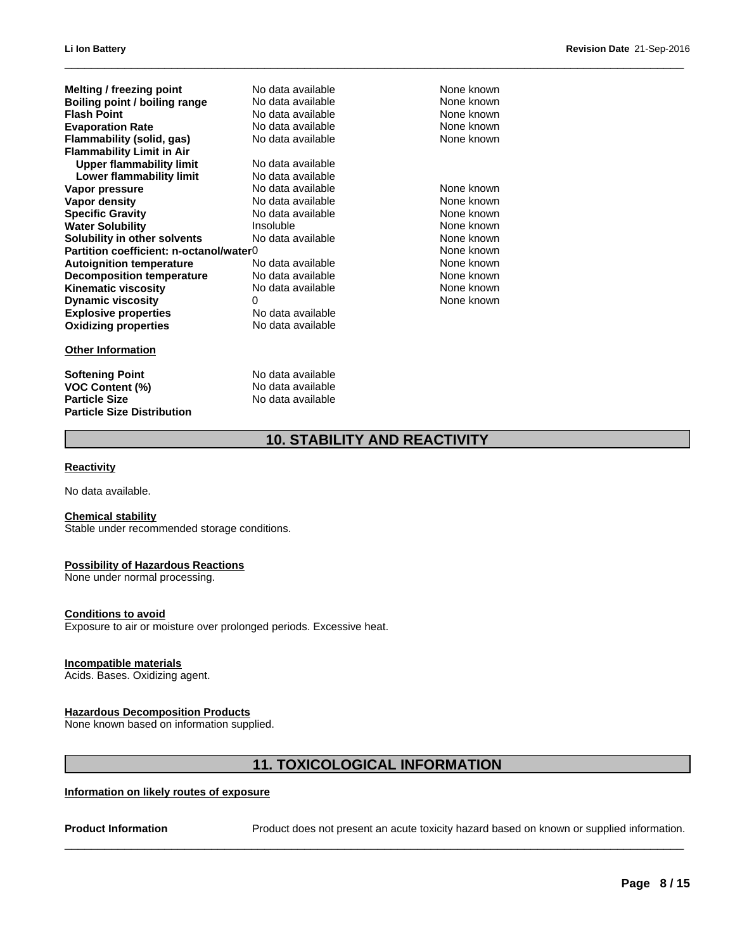| Melting / freezing point                | No data available                   | None known |
|-----------------------------------------|-------------------------------------|------------|
| Boiling point / boiling range           | No data available                   | None known |
| <b>Flash Point</b>                      | No data available                   | None known |
| <b>Evaporation Rate</b>                 | No data available                   | None known |
| Flammability (solid, gas)               | No data available                   | None known |
| <b>Flammability Limit in Air</b>        |                                     |            |
| <b>Upper flammability limit</b>         | No data available                   |            |
| <b>Lower flammability limit</b>         | No data available                   |            |
| Vapor pressure                          | No data available                   | None known |
| <b>Vapor density</b>                    | No data available                   | None known |
| <b>Specific Gravity</b>                 | No data available                   | None known |
| <b>Water Solubility</b>                 | Insoluble                           | None known |
| Solubility in other solvents            | No data available                   | None known |
| Partition coefficient: n-octanol/water0 |                                     | None known |
| <b>Autoignition temperature</b>         | No data available                   | None known |
| <b>Decomposition temperature</b>        | No data available                   | None known |
| Kinematic viscosity                     | No data available                   | None known |
| <b>Dynamic viscosity</b>                | 0                                   | None known |
| <b>Explosive properties</b>             | No data available                   |            |
| <b>Oxidizing properties</b>             | No data available                   |            |
| <b>Other Information</b>                |                                     |            |
| <b>Softening Point</b>                  | No data available                   |            |
| <b>VOC Content (%)</b>                  | No data available                   |            |
| <b>Particle Size</b>                    | No data available                   |            |
| <b>Particle Size Distribution</b>       |                                     |            |
|                                         | <b>10. STABILITY AND REACTIVITY</b> |            |
| <b>Reactivity</b>                       |                                     |            |
|                                         |                                     |            |
| No data available.                      |                                     |            |

 $\_$  ,  $\_$  ,  $\_$  ,  $\_$  ,  $\_$  ,  $\_$  ,  $\_$  ,  $\_$  ,  $\_$  ,  $\_$  ,  $\_$  ,  $\_$  ,  $\_$  ,  $\_$  ,  $\_$  ,  $\_$  ,  $\_$  ,  $\_$  ,  $\_$  ,  $\_$  ,  $\_$  ,  $\_$  ,  $\_$  ,  $\_$  ,  $\_$  ,  $\_$  ,  $\_$  ,  $\_$  ,  $\_$  ,  $\_$  ,  $\_$  ,  $\_$  ,  $\_$  ,  $\_$  ,  $\_$  ,  $\_$  ,  $\_$  ,

### **Reactivity**

### **Chemical stability**

Stable under recommended storage conditions.

### **Possibility of Hazardous Reactions**

None under normal processing.

### **Conditions to avoid**

Exposure to air or moisture over prolonged periods. Excessive heat.

### **Incompatible materials**

Acids. Bases. Oxidizing agent.

### **Hazardous Decomposition Products**

None known based on information supplied.

# <sup>ped</sup> periods. Excessive heat.<br>|<br>| 11. **TOXICOLOGICAL INFORMATION**<br>| <u>ure</u>

### **Information on likely routes of exposure**

**Product Information** Product does not present an acute toxicity hazard based on known or supplied information.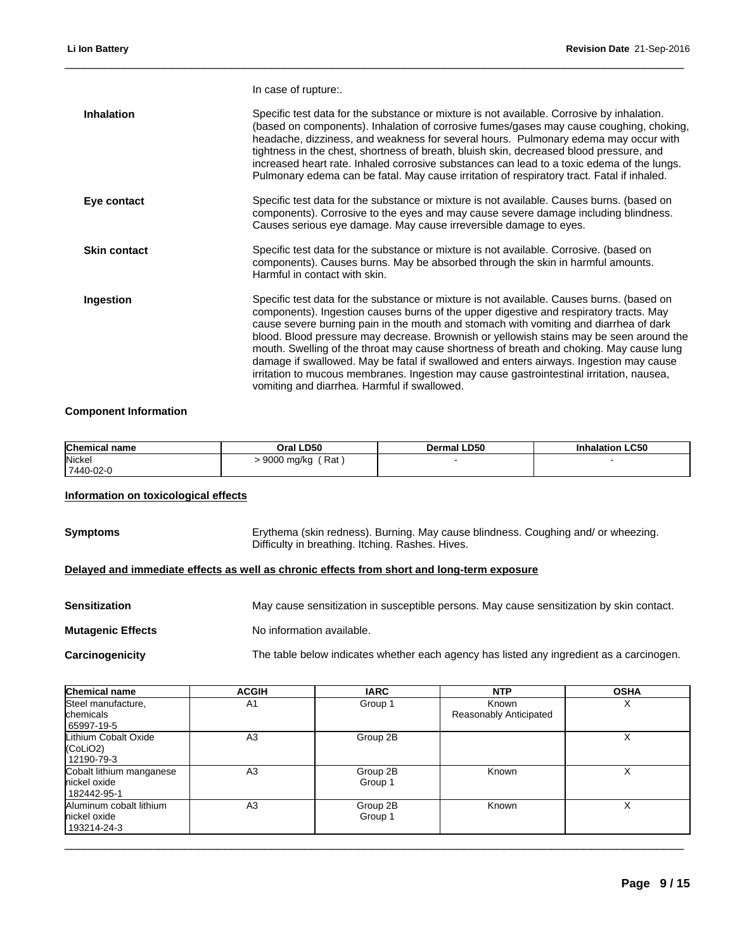|                     | In case of rupture:.                                                                                                                                                                                                                                                                                                                                                                                                                                                                                                                                                                                                                                                                                     |
|---------------------|----------------------------------------------------------------------------------------------------------------------------------------------------------------------------------------------------------------------------------------------------------------------------------------------------------------------------------------------------------------------------------------------------------------------------------------------------------------------------------------------------------------------------------------------------------------------------------------------------------------------------------------------------------------------------------------------------------|
| <b>Inhalation</b>   | Specific test data for the substance or mixture is not available. Corrosive by inhalation.<br>(based on components). Inhalation of corrosive fumes/gases may cause coughing, choking,<br>headache, dizziness, and weakness for several hours. Pulmonary edema may occur with<br>tightness in the chest, shortness of breath, bluish skin, decreased blood pressure, and<br>increased heart rate. Inhaled corrosive substances can lead to a toxic edema of the lungs.<br>Pulmonary edema can be fatal. May cause irritation of respiratory tract. Fatal if inhaled.                                                                                                                                      |
| Eye contact         | Specific test data for the substance or mixture is not available. Causes burns. (based on<br>components). Corrosive to the eyes and may cause severe damage including blindness.<br>Causes serious eye damage. May cause irreversible damage to eyes.                                                                                                                                                                                                                                                                                                                                                                                                                                                    |
| <b>Skin contact</b> | Specific test data for the substance or mixture is not available. Corrosive. (based on<br>components). Causes burns. May be absorbed through the skin in harmful amounts.<br>Harmful in contact with skin.                                                                                                                                                                                                                                                                                                                                                                                                                                                                                               |
| Ingestion           | Specific test data for the substance or mixture is not available. Causes burns. (based on<br>components). Ingestion causes burns of the upper digestive and respiratory tracts. May<br>cause severe burning pain in the mouth and stomach with vomiting and diarrhea of dark<br>blood. Blood pressure may decrease. Brownish or yellowish stains may be seen around the<br>mouth. Swelling of the throat may cause shortness of breath and choking. May cause lung<br>damage if swallowed. May be fatal if swallowed and enters airways. Ingestion may cause<br>irritation to mucous membranes. Ingestion may cause gastrointestinal irritation, nausea,<br>vomiting and diarrhea. Harmful if swallowed. |
|                     |                                                                                                                                                                                                                                                                                                                                                                                                                                                                                                                                                                                                                                                                                                          |

## **Component Information**

| <b>Chemical name</b> | Oral LD50         | Dermal LD50 | <b>Inhalation LC50</b> |
|----------------------|-------------------|-------------|------------------------|
| Nickel               | Rat<br>9000 mg/kg |             |                        |
| 7440-02-0            |                   |             |                        |

## **Information on toxicological effects**

| <b>Symptoms</b> | Erythema (skin redness). Burning. May cause blindness. Coughing and/ or wheezing. |
|-----------------|-----------------------------------------------------------------------------------|
|                 | Difficulty in breathing. Itching. Rashes. Hives.                                  |

## **Delayed and immediate effects as well as chronic effects from short and long-term exposure**

| <b>Sensitization</b>     | May cause sensitization in susceptible persons. May cause sensitization by skin contact. |
|--------------------------|------------------------------------------------------------------------------------------|
| <b>Mutagenic Effects</b> | No information available.                                                                |
| Carcinogenicity          | The table below indicates whether each agency has listed any ingredient as a carcinogen. |

| Chemical name                                                            | <b>ACGIH</b>   | <b>IARC</b>         | <b>NTP</b>                      | <b>OSHA</b> |
|--------------------------------------------------------------------------|----------------|---------------------|---------------------------------|-------------|
| Steel manufacture,<br>chemicals<br>65997-19-5                            | A1             | Group 1             | Known<br>Reasonably Anticipated | ⋏           |
| Lithium Cobalt Oxide<br>(Col <sub>i</sub> O <sub>2</sub> )<br>12190-79-3 | A <sub>3</sub> | Group 2B            |                                 | Χ           |
| Cobalt lithium manganese<br>nickel oxide<br>182442-95-1                  | A <sub>3</sub> | Group 2B<br>Group 1 | Known                           | ⋏           |
| Aluminum cobalt lithium<br>nickel oxide<br>193214-24-3                   | A <sub>3</sub> | Group 2B<br>Group 1 | Known                           | х           |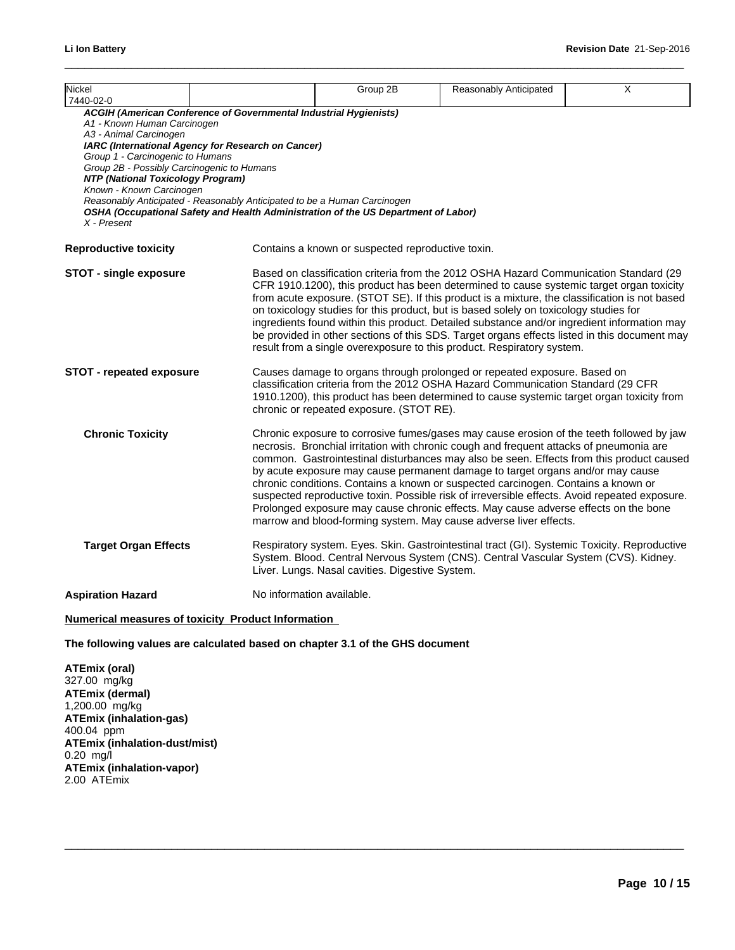| Nickel<br>7440-02-0                                                                                                                                                                                                       |                                                                                                                                                                                                                                                                                           | Group 2B                                                                                                                                                                                                                                                                                                                                                                                                                                                                                                                                                                                                                                             | Reasonably Anticipated                                                                                                                                                                                                                                                                                                                                                                                                                                                                                                                                                                                                                                                                                              | Χ |  |  |
|---------------------------------------------------------------------------------------------------------------------------------------------------------------------------------------------------------------------------|-------------------------------------------------------------------------------------------------------------------------------------------------------------------------------------------------------------------------------------------------------------------------------------------|------------------------------------------------------------------------------------------------------------------------------------------------------------------------------------------------------------------------------------------------------------------------------------------------------------------------------------------------------------------------------------------------------------------------------------------------------------------------------------------------------------------------------------------------------------------------------------------------------------------------------------------------------|---------------------------------------------------------------------------------------------------------------------------------------------------------------------------------------------------------------------------------------------------------------------------------------------------------------------------------------------------------------------------------------------------------------------------------------------------------------------------------------------------------------------------------------------------------------------------------------------------------------------------------------------------------------------------------------------------------------------|---|--|--|
| A1 - Known Human Carcinogen<br>A3 - Animal Carcinogen<br>Group 1 - Carcinogenic to Humans<br>Group 2B - Possibly Carcinogenic to Humans<br>NTP (National Toxicology Program)<br>Known - Known Carcinogen<br>$X$ - Present | ACGIH (American Conference of Governmental Industrial Hygienists)<br>IARC (International Agency for Research on Cancer)<br>Reasonably Anticipated - Reasonably Anticipated to be a Human Carcinogen<br>OSHA (Occupational Safety and Health Administration of the US Department of Labor) |                                                                                                                                                                                                                                                                                                                                                                                                                                                                                                                                                                                                                                                      |                                                                                                                                                                                                                                                                                                                                                                                                                                                                                                                                                                                                                                                                                                                     |   |  |  |
| <b>Reproductive toxicity</b>                                                                                                                                                                                              |                                                                                                                                                                                                                                                                                           | Contains a known or suspected reproductive toxin.                                                                                                                                                                                                                                                                                                                                                                                                                                                                                                                                                                                                    |                                                                                                                                                                                                                                                                                                                                                                                                                                                                                                                                                                                                                                                                                                                     |   |  |  |
| <b>STOT - single exposure</b>                                                                                                                                                                                             |                                                                                                                                                                                                                                                                                           | Based on classification criteria from the 2012 OSHA Hazard Communication Standard (29<br>CFR 1910.1200), this product has been determined to cause systemic target organ toxicity<br>from acute exposure. (STOT SE). If this product is a mixture, the classification is not based<br>on toxicology studies for this product, but is based solely on toxicology studies for<br>ingredients found within this product. Detailed substance and/or ingredient information may<br>be provided in other sections of this SDS. Target organs effects listed in this document may<br>result from a single overexposure to this product. Respiratory system. |                                                                                                                                                                                                                                                                                                                                                                                                                                                                                                                                                                                                                                                                                                                     |   |  |  |
| <b>STOT - repeated exposure</b>                                                                                                                                                                                           |                                                                                                                                                                                                                                                                                           | Causes damage to organs through prolonged or repeated exposure. Based on<br>classification criteria from the 2012 OSHA Hazard Communication Standard (29 CFR<br>1910.1200), this product has been determined to cause systemic target organ toxicity from<br>chronic or repeated exposure. (STOT RE).                                                                                                                                                                                                                                                                                                                                                |                                                                                                                                                                                                                                                                                                                                                                                                                                                                                                                                                                                                                                                                                                                     |   |  |  |
| <b>Chronic Toxicity</b>                                                                                                                                                                                                   |                                                                                                                                                                                                                                                                                           |                                                                                                                                                                                                                                                                                                                                                                                                                                                                                                                                                                                                                                                      | Chronic exposure to corrosive fumes/gases may cause erosion of the teeth followed by jaw<br>necrosis. Bronchial irritation with chronic cough and frequent attacks of pneumonia are<br>common. Gastrointestinal disturbances may also be seen. Effects from this product caused<br>by acute exposure may cause permanent damage to target organs and/or may cause<br>chronic conditions. Contains a known or suspected carcinogen. Contains a known or<br>suspected reproductive toxin. Possible risk of irreversible effects. Avoid repeated exposure.<br>Prolonged exposure may cause chronic effects. May cause adverse effects on the bone<br>marrow and blood-forming system. May cause adverse liver effects. |   |  |  |
| <b>Target Organ Effects</b>                                                                                                                                                                                               |                                                                                                                                                                                                                                                                                           | Liver. Lungs. Nasal cavities. Digestive System.                                                                                                                                                                                                                                                                                                                                                                                                                                                                                                                                                                                                      | Respiratory system. Eyes. Skin. Gastrointestinal tract (GI). Systemic Toxicity. Reproductive<br>System. Blood. Central Nervous System (CNS). Central Vascular System (CVS). Kidney.                                                                                                                                                                                                                                                                                                                                                                                                                                                                                                                                 |   |  |  |
| <b>Aspiration Hazard</b>                                                                                                                                                                                                  | No information available.                                                                                                                                                                                                                                                                 |                                                                                                                                                                                                                                                                                                                                                                                                                                                                                                                                                                                                                                                      |                                                                                                                                                                                                                                                                                                                                                                                                                                                                                                                                                                                                                                                                                                                     |   |  |  |
|                                                                                                                                                                                                                           |                                                                                                                                                                                                                                                                                           |                                                                                                                                                                                                                                                                                                                                                                                                                                                                                                                                                                                                                                                      |                                                                                                                                                                                                                                                                                                                                                                                                                                                                                                                                                                                                                                                                                                                     |   |  |  |

 $\_$  ,  $\_$  ,  $\_$  ,  $\_$  ,  $\_$  ,  $\_$  ,  $\_$  ,  $\_$  ,  $\_$  ,  $\_$  ,  $\_$  ,  $\_$  ,  $\_$  ,  $\_$  ,  $\_$  ,  $\_$  ,  $\_$  ,  $\_$  ,  $\_$  ,  $\_$  ,  $\_$  ,  $\_$  ,  $\_$  ,  $\_$  ,  $\_$  ,  $\_$  ,  $\_$  ,  $\_$  ,  $\_$  ,  $\_$  ,  $\_$  ,  $\_$  ,  $\_$  ,  $\_$  ,  $\_$  ,  $\_$  ,  $\_$  ,

### **Numerical measures of toxicity Product Information**

**The following values are calculated based on chapter 3.1 of the GHS document**

**ATEmix (oral)** 327.00 mg/kg **ATEmix (dermal)** 1,200.00 mg/kg **ATEmix (inhalation-gas)** 400.04 ppm **ATEmix (inhalation-dust/mist)** 0.20 mg/l **ATEmix (inhalation-vapor)** 2.00 ATEmix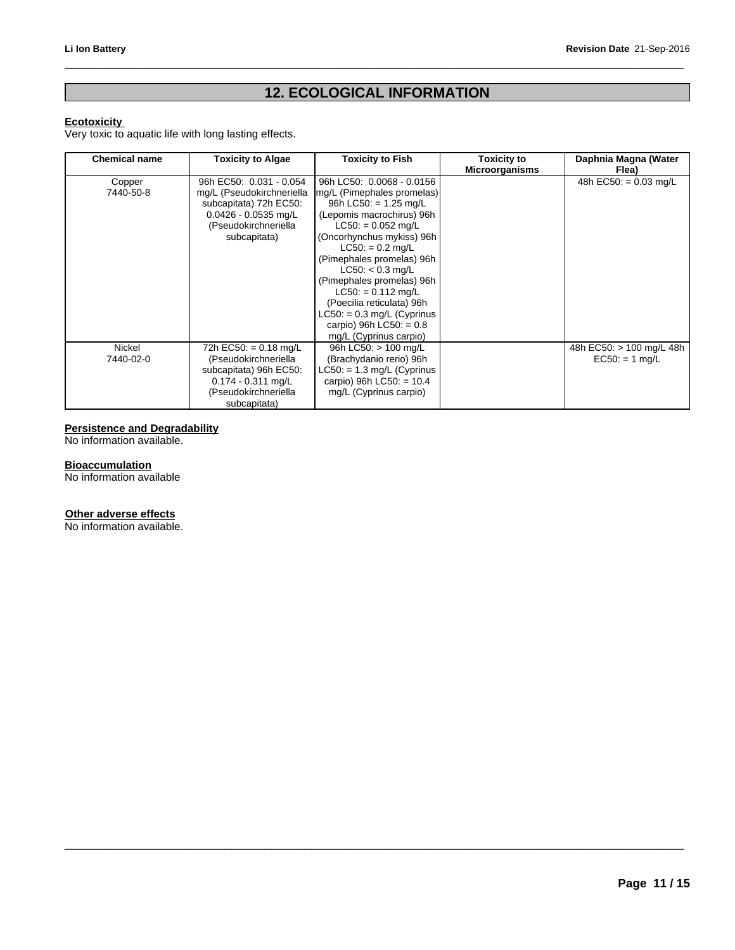# Revision Date 21-Sep-2016<br>**12. ECOLOGICAL INFORMATION**

 $\_$  ,  $\_$  ,  $\_$  ,  $\_$  ,  $\_$  ,  $\_$  ,  $\_$  ,  $\_$  ,  $\_$  ,  $\_$  ,  $\_$  ,  $\_$  ,  $\_$  ,  $\_$  ,  $\_$  ,  $\_$  ,  $\_$  ,  $\_$  ,  $\_$  ,  $\_$  ,  $\_$  ,  $\_$  ,  $\_$  ,  $\_$  ,  $\_$  ,  $\_$  ,  $\_$  ,  $\_$  ,  $\_$  ,  $\_$  ,  $\_$  ,  $\_$  ,  $\_$  ,  $\_$  ,  $\_$  ,  $\_$  ,  $\_$  ,

 $\_$  ,  $\_$  ,  $\_$  ,  $\_$  ,  $\_$  ,  $\_$  ,  $\_$  ,  $\_$  ,  $\_$  ,  $\_$  ,  $\_$  ,  $\_$  ,  $\_$  ,  $\_$  ,  $\_$  ,  $\_$  ,  $\_$  ,  $\_$  ,  $\_$  ,  $\_$  ,  $\_$  ,  $\_$  ,  $\_$  ,  $\_$  ,  $\_$  ,  $\_$  ,  $\_$  ,  $\_$  ,  $\_$  ,  $\_$  ,  $\_$  ,  $\_$  ,  $\_$  ,  $\_$  ,  $\_$  ,  $\_$  ,  $\_$  ,

### **Ecotoxicity**

Very toxic to aquatic life with long lasting effects.

| <b>Chemical name</b> | <b>Toxicity to Algae</b>  | <b>Toxicity to Fish</b>      | <b>Toxicity to</b><br><b>Microorganisms</b> | Daphnia Magna (Water<br>Flea) |
|----------------------|---------------------------|------------------------------|---------------------------------------------|-------------------------------|
| Copper               | 96h EC50: 0.031 - 0.054   | 96h LC50: 0.0068 - 0.0156    |                                             | 48h EC50: = $0.03$ mg/L       |
| 7440-50-8            | mg/L (Pseudokirchneriella | mg/L (Pimephales promelas)   |                                             |                               |
|                      | subcapitata) 72h EC50:    | 96h LC50: $= 1.25$ mg/L      |                                             |                               |
|                      | $0.0426 - 0.0535$ mg/L    | (Lepomis macrochirus) 96h    |                                             |                               |
|                      | (Pseudokirchneriella      | $LC50: = 0.052$ mg/L         |                                             |                               |
|                      | subcapitata)              | (Oncorhynchus mykiss) 96h    |                                             |                               |
|                      |                           | $LC50: = 0.2$ mg/L           |                                             |                               |
|                      |                           | (Pimephales promelas) 96h    |                                             |                               |
|                      |                           | $LC50: < 0.3$ mg/L           |                                             |                               |
|                      |                           | (Pimephales promelas) 96h    |                                             |                               |
|                      |                           | $LC50: = 0.112$ mg/L         |                                             |                               |
|                      |                           | (Poecilia reticulata) 96h    |                                             |                               |
|                      |                           | $LC50: = 0.3$ mg/L (Cyprinus |                                             |                               |
|                      |                           | carpio) 96h LC50: = $0.8$    |                                             |                               |
|                      |                           | mg/L (Cyprinus carpio)       |                                             |                               |
| Nickel               | 72h EC50: = $0.18$ mg/L   | 96h LC50: > 100 mg/L         |                                             | 48h EC50: > 100 mg/L 48h      |
| 7440-02-0            | (Pseudokirchneriella      | (Brachydanio rerio) 96h      |                                             | $EC50: = 1 mg/L$              |
|                      | subcapitata) 96h EC50:    | $LC50: = 1.3$ mg/L (Cyprinus |                                             |                               |
|                      | $0.174 - 0.311$ mg/L      | carpio) 96h LC50: $= 10.4$   |                                             |                               |
|                      | (Pseudokirchneriella      | mg/L (Cyprinus carpio)       |                                             |                               |
|                      | subcapitata)              |                              |                                             |                               |

## **Persistence and Degradability**

No information available.

### **Bioaccumulation**

No information available

### **Other adverse effects**

No information available.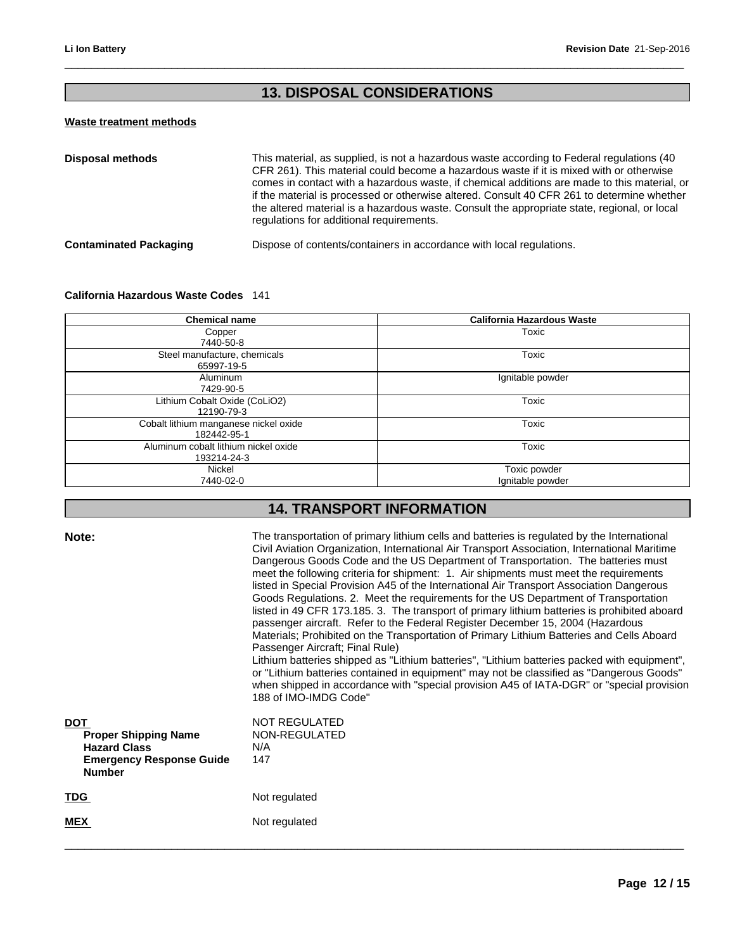# Revision Date 21-Sep-20<br> **13. DISPOSAL CONSIDERATIONS**

 $\_$  ,  $\_$  ,  $\_$  ,  $\_$  ,  $\_$  ,  $\_$  ,  $\_$  ,  $\_$  ,  $\_$  ,  $\_$  ,  $\_$  ,  $\_$  ,  $\_$  ,  $\_$  ,  $\_$  ,  $\_$  ,  $\_$  ,  $\_$  ,  $\_$  ,  $\_$  ,  $\_$  ,  $\_$  ,  $\_$  ,  $\_$  ,  $\_$  ,  $\_$  ,  $\_$  ,  $\_$  ,  $\_$  ,  $\_$  ,  $\_$  ,  $\_$  ,  $\_$  ,  $\_$  ,  $\_$  ,  $\_$  ,  $\_$  ,

## **Waste treatment methods**

| <b>Disposal methods</b>       | This material, as supplied, is not a hazardous waste according to Federal regulations (40<br>CFR 261). This material could become a hazardous waste if it is mixed with or otherwise<br>comes in contact with a hazardous waste, if chemical additions are made to this material, or<br>if the material is processed or otherwise altered. Consult 40 CFR 261 to determine whether<br>the altered material is a hazardous waste. Consult the appropriate state, regional, or local<br>regulations for additional requirements. |
|-------------------------------|--------------------------------------------------------------------------------------------------------------------------------------------------------------------------------------------------------------------------------------------------------------------------------------------------------------------------------------------------------------------------------------------------------------------------------------------------------------------------------------------------------------------------------|
| <b>Contaminated Packaging</b> | Dispose of contents/containers in accordance with local regulations.                                                                                                                                                                                                                                                                                                                                                                                                                                                           |

## **California Hazardous Waste Codes** 141

|       | <b>Chemical name</b>                                 | California Hazardous Waste                                                                                                                                                                                                                                                      |
|-------|------------------------------------------------------|---------------------------------------------------------------------------------------------------------------------------------------------------------------------------------------------------------------------------------------------------------------------------------|
|       | Copper<br>7440-50-8                                  | Toxic                                                                                                                                                                                                                                                                           |
|       | Steel manufacture, chemicals<br>65997-19-5           | Toxic                                                                                                                                                                                                                                                                           |
|       | Aluminum<br>7429-90-5                                | Ignitable powder                                                                                                                                                                                                                                                                |
|       | Lithium Cobalt Oxide (CoLiO2)<br>12190-79-3          | Toxic                                                                                                                                                                                                                                                                           |
|       | Cobalt lithium manganese nickel oxide<br>182442-95-1 | Toxic                                                                                                                                                                                                                                                                           |
|       | Aluminum cobalt lithium nickel oxide<br>193214-24-3  | Toxic                                                                                                                                                                                                                                                                           |
|       | Nickel<br>7440-02-0                                  | Toxic powder<br>Ignitable powder                                                                                                                                                                                                                                                |
|       | <b>14. TRANSPORT INFORMATION</b>                     |                                                                                                                                                                                                                                                                                 |
| Note: |                                                      | The transportation of primary lithium cells and batteries is regulated by the International<br>Civil Aviation Organization, International Air Transport Association, International Maritime<br>Dangerous Goods Code and the US Department of Transportation. The batteries must |

| Note:                                                                                                                | The transportation of primary lithium cells and batteries is regulated by the International<br>Civil Aviation Organization, International Air Transport Association, International Maritime<br>Dangerous Goods Code and the US Department of Transportation. The batteries must<br>meet the following criteria for shipment: 1. Air shipments must meet the requirements<br>listed in Special Provision A45 of the International Air Transport Association Dangerous<br>Goods Regulations. 2. Meet the requirements for the US Department of Transportation<br>listed in 49 CFR 173.185. 3. The transport of primary lithium batteries is prohibited aboard<br>passenger aircraft. Refer to the Federal Register December 15, 2004 (Hazardous<br>Materials; Prohibited on the Transportation of Primary Lithium Batteries and Cells Aboard<br>Passenger Aircraft; Final Rule)<br>Lithium batteries shipped as "Lithium batteries", "Lithium batteries packed with equipment",<br>or "Lithium batteries contained in equipment" may not be classified as "Dangerous Goods"<br>when shipped in accordance with "special provision A45 of IATA-DGR" or "special provision<br>188 of IMO-IMDG Code" |
|----------------------------------------------------------------------------------------------------------------------|-------------------------------------------------------------------------------------------------------------------------------------------------------------------------------------------------------------------------------------------------------------------------------------------------------------------------------------------------------------------------------------------------------------------------------------------------------------------------------------------------------------------------------------------------------------------------------------------------------------------------------------------------------------------------------------------------------------------------------------------------------------------------------------------------------------------------------------------------------------------------------------------------------------------------------------------------------------------------------------------------------------------------------------------------------------------------------------------------------------------------------------------------------------------------------------------------|
| <b>DOT</b><br><b>Proper Shipping Name</b><br><b>Hazard Class</b><br><b>Emergency Response Guide</b><br><b>Number</b> | NOT REGULATED<br>NON-REGULATED<br>N/A<br>147                                                                                                                                                                                                                                                                                                                                                                                                                                                                                                                                                                                                                                                                                                                                                                                                                                                                                                                                                                                                                                                                                                                                                    |
| <b>TDG</b>                                                                                                           | Not regulated                                                                                                                                                                                                                                                                                                                                                                                                                                                                                                                                                                                                                                                                                                                                                                                                                                                                                                                                                                                                                                                                                                                                                                                   |
| <b>MEX</b>                                                                                                           | Not regulated                                                                                                                                                                                                                                                                                                                                                                                                                                                                                                                                                                                                                                                                                                                                                                                                                                                                                                                                                                                                                                                                                                                                                                                   |
|                                                                                                                      |                                                                                                                                                                                                                                                                                                                                                                                                                                                                                                                                                                                                                                                                                                                                                                                                                                                                                                                                                                                                                                                                                                                                                                                                 |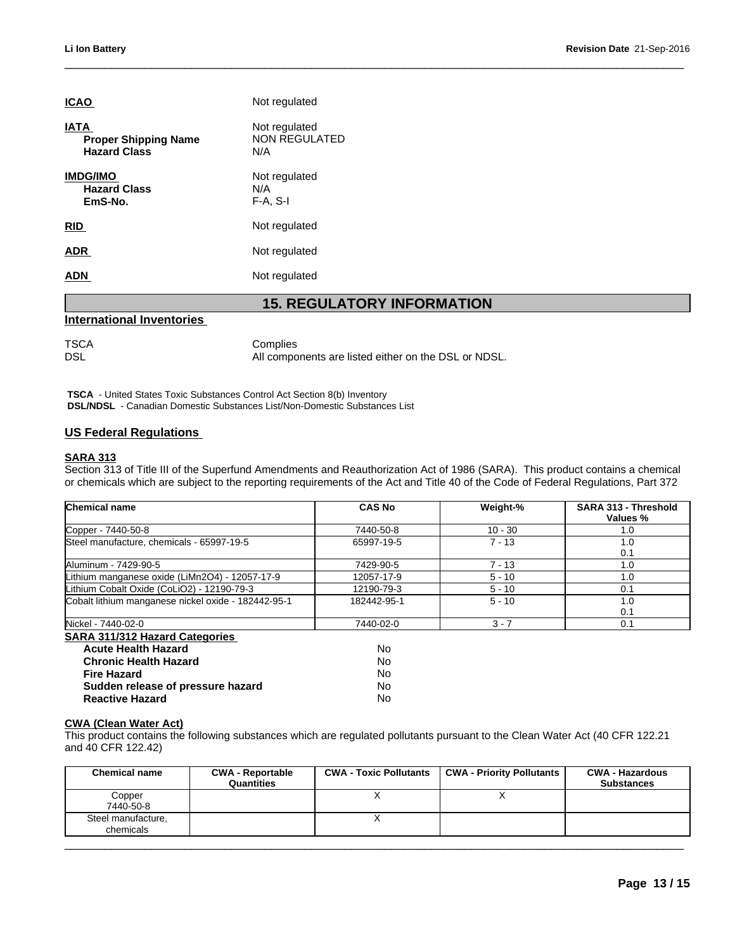| <b>ICAO</b>                                                       | Not regulated                                                    |
|-------------------------------------------------------------------|------------------------------------------------------------------|
| <u>IATA</u><br><b>Proper Shipping Name</b><br><b>Hazard Class</b> | Not regulated<br><b>NON REGULATED</b><br>N/A                     |
| <b>IMDG/IMO</b><br><b>Hazard Class</b><br>EmS-No.                 | Not regulated<br>N/A<br>$F-A, S-I$                               |
| RID                                                               | Not regulated                                                    |
| <b>ADR</b>                                                        | Not regulated                                                    |
| <b>ADN</b>                                                        | Not regulated                                                    |
|                                                                   | <b>15. REGULATORY INFORMATION</b>                                |
| <b>International Inventories</b>                                  |                                                                  |
| <b>TSCA</b><br><b>DSL</b>                                         | Complies<br>All components are listed either on the DSL or NDSL. |

## **International Inventories**

| TSCA | Complies                                             |
|------|------------------------------------------------------|
| DSL  | All components are listed either on the DSL or NDSL. |

 **TSCA** - United States Toxic Substances Control Act Section 8(b) Inventory  **DSL/NDSL** - Canadian Domestic Substances List/Non-Domestic Substances List

### **US Federal Regulations**

### **SARA 313**

Section 313 of Title III of the Superfund Amendments and Reauthorization Act of 1986 (SARA). This product contains a chemical or chemicals which are subject to the reporting requirements of the Act and Title 40 of the Code of Federal Regulations, Part 372

| <b>Chemical name</b>                                                                                                                                                               |                                       | <b>CAS No</b>                 | Weight-%                         | SARA 313 - Threshold<br><b>Values</b> %     |
|------------------------------------------------------------------------------------------------------------------------------------------------------------------------------------|---------------------------------------|-------------------------------|----------------------------------|---------------------------------------------|
| Copper - 7440-50-8                                                                                                                                                                 |                                       | 7440-50-8                     | $10 - 30$                        | 1.0                                         |
| Steel manufacture, chemicals - 65997-19-5                                                                                                                                          |                                       | 65997-19-5                    | $7 - 13$                         | 1.0                                         |
|                                                                                                                                                                                    |                                       |                               |                                  | 0.1                                         |
| Aluminum - 7429-90-5                                                                                                                                                               |                                       | 7429-90-5                     | $7 - 13$                         | 1.0                                         |
| Lithium manganese oxide (LiMn2O4) - 12057-17-9                                                                                                                                     |                                       | 12057-17-9                    | $5 - 10$                         | 1.0                                         |
| Lithium Cobalt Oxide (CoLiO2) - 12190-79-3                                                                                                                                         |                                       | 12190-79-3                    | $5 - 10$                         | 0.1                                         |
| Cobalt lithium manganese nickel oxide - 182442-95-1                                                                                                                                |                                       | 182442-95-1                   | $5 - 10$                         | 1.0                                         |
|                                                                                                                                                                                    |                                       |                               |                                  | 0.1                                         |
| Nickel - 7440-02-0                                                                                                                                                                 |                                       | 7440-02-0                     | $3 - 7$                          | 0.1                                         |
| <b>SARA 311/312 Hazard Categories</b>                                                                                                                                              |                                       |                               |                                  |                                             |
| <b>Acute Health Hazard</b>                                                                                                                                                         |                                       | <b>No</b>                     |                                  |                                             |
| <b>Chronic Health Hazard</b>                                                                                                                                                       |                                       | <b>No</b>                     |                                  |                                             |
| <b>Fire Hazard</b>                                                                                                                                                                 |                                       | <b>No</b>                     |                                  |                                             |
| Sudden release of pressure hazard                                                                                                                                                  |                                       | No                            |                                  |                                             |
| <b>Reactive Hazard</b>                                                                                                                                                             |                                       | No                            |                                  |                                             |
| <b>CWA (Clean Water Act)</b><br>This product contains the following substances which are regulated pollutants pursuant to the Clean Water Act (40 CFR 122.21<br>and 40 CFR 122.42) |                                       |                               |                                  |                                             |
| <b>Chemical name</b>                                                                                                                                                               | <b>CWA - Reportable</b><br>Quantities | <b>CWA - Toxic Pollutants</b> | <b>CWA - Priority Pollutants</b> | <b>CWA - Hazardous</b><br><b>Substances</b> |
| Copper<br>7440-50-8                                                                                                                                                                |                                       | X                             | X                                |                                             |

### **CWA (Clean Water Act)**

| Copper<br>7440-50-8<br>Steel manufacture,<br>chemicals | <b>Chemical name</b> | <b>CWA - Reportable</b><br>Quantities | <b>CWA - Toxic Pollutants</b> | CWA - Priority Pollutants | <b>CWA - Hazardous</b><br><b>Substances</b> |
|--------------------------------------------------------|----------------------|---------------------------------------|-------------------------------|---------------------------|---------------------------------------------|
|                                                        |                      |                                       |                               |                           |                                             |
|                                                        |                      |                                       |                               |                           |                                             |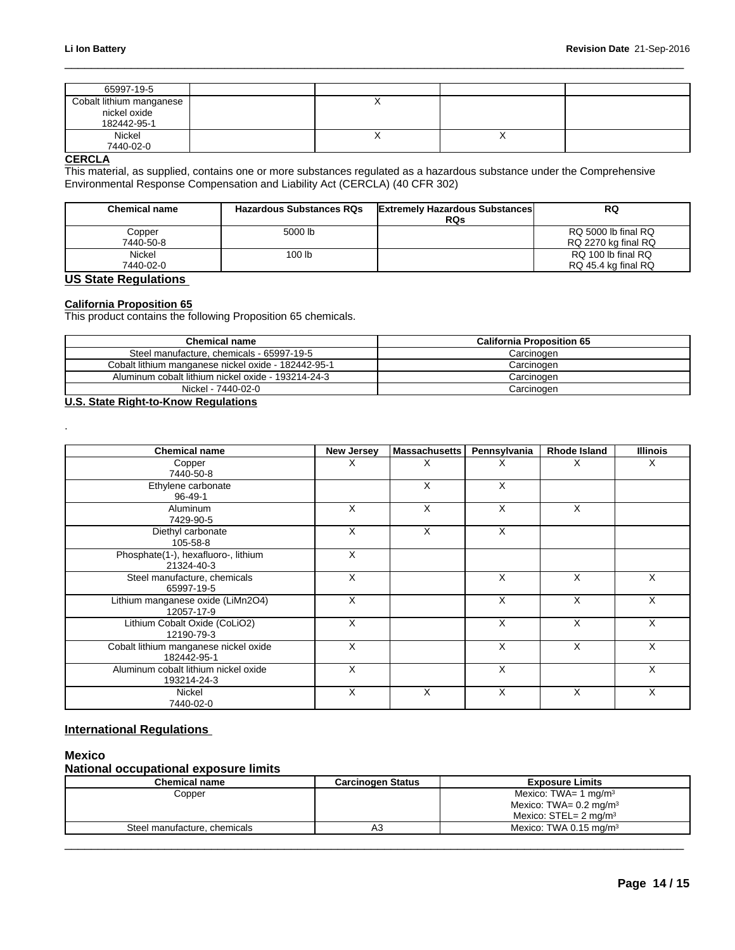| 65997-19-5                  |                          |   |  |
|-----------------------------|--------------------------|---|--|
| Cobalt lithium manganese    |                          |   |  |
| nickel oxide<br>182442-95-1 |                          |   |  |
| Nickel<br>7440-02-0         | $\overline{\phantom{a}}$ | ↗ |  |

### **CERCLA**

.

This material, as supplied, contains one or more substances regulated as a hazardous substance under the Comprehensive Environmental Response Compensation and Liability Act (CERCLA) (40 CFR 302)

| <b>Chemical name</b> | <b>Hazardous Substances RQs</b> | <b>Extremely Hazardous Substances</b><br><b>RQs</b> | RQ                                         |
|----------------------|---------------------------------|-----------------------------------------------------|--------------------------------------------|
| Copper<br>7440-50-8  | 5000 lb                         |                                                     | RQ 5000 lb final RQ<br>RQ 2270 kg final RQ |
| Nickel<br>7440-02-0  | 100 lb                          |                                                     | RQ 100 lb final RQ<br>RQ 45.4 kg final RQ  |

## **US State Regulations**

### **California Proposition 65**

This product contains the following Proposition 65 chemicals.

| <b>Chemical name</b>                                | <b>California Proposition 65</b> |
|-----------------------------------------------------|----------------------------------|
| Steel manufacture, chemicals - 65997-19-5           | Carcinogen                       |
| Cobalt lithium manganese nickel oxide - 182442-95-1 | Carcinogen                       |
| Aluminum cobalt lithium nickel oxide - 193214-24-3  | Carcinogen                       |
| Nickel - 7440-02-0                                  | Carcinogen                       |

### **U.S. State Right-to-Know Regulations**

| <b>Chemical name</b>                                 | <b>New Jersey</b> | Massachusetts | Pennsylvania | <b>Rhode Island</b> | <b>Illinois</b> |
|------------------------------------------------------|-------------------|---------------|--------------|---------------------|-----------------|
| Copper<br>7440-50-8                                  | X                 | х             | ⋏            | х                   | Χ               |
| Ethylene carbonate<br>96-49-1                        |                   | X             | X            |                     |                 |
| Aluminum<br>7429-90-5                                | X                 | X             | X            | $\times$            |                 |
| Diethyl carbonate<br>105-58-8                        | X                 | $\times$      | X            |                     |                 |
| Phosphate(1-), hexafluoro-, lithium<br>21324-40-3    | Χ                 |               |              |                     |                 |
| Steel manufacture, chemicals<br>65997-19-5           | X                 |               | X            | X                   | X               |
| Lithium manganese oxide (LiMn2O4)<br>12057-17-9      | X                 |               | X            | X                   | X               |
| Lithium Cobalt Oxide (CoLiO2)<br>12190-79-3          | X                 |               | X            | X                   | X               |
| Cobalt lithium manganese nickel oxide<br>182442-95-1 | X                 |               | X            | X                   | Χ               |
| Aluminum cobalt lithium nickel oxide<br>193214-24-3  | Χ                 |               | X            |                     | Χ               |
| Nickel<br>7440-02-0                                  | X                 | X             | X            | X                   | X               |

## **International Regulations**

### **Mexico**

### **National occupational exposure limits**

| Chemical name                | <b>Carcinogen Status</b>         | <b>Exposure Limits</b>               |
|------------------------------|----------------------------------|--------------------------------------|
| Copper                       | Mexico: TWA= 1 mg/m <sup>3</sup> |                                      |
|                              |                                  | Mexico: TWA= $0.2 \text{ mg/m}^3$    |
|                              |                                  | Mexico: $STEL = 2$ ma/m <sup>3</sup> |
| Steel manufacture, chemicals | nυ                               | Mexico: TWA 0.15 mg/m <sup>3</sup>   |
|                              |                                  |                                      |